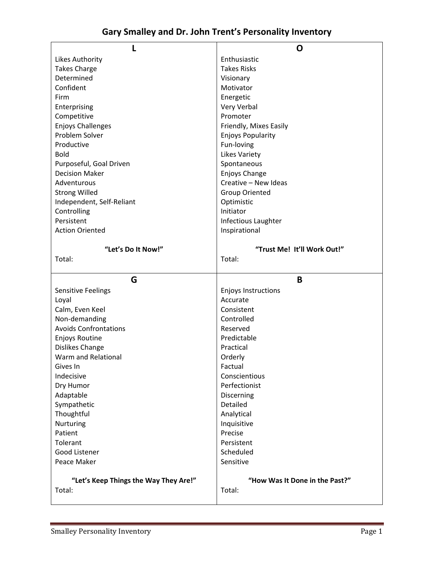|                                                 | O                                        |  |
|-------------------------------------------------|------------------------------------------|--|
| <b>Likes Authority</b>                          | Enthusiastic                             |  |
| <b>Takes Charge</b>                             | <b>Takes Risks</b>                       |  |
| Determined                                      |                                          |  |
|                                                 | Visionary                                |  |
| Confident                                       | Motivator                                |  |
| Firm                                            | Energetic                                |  |
| Enterprising                                    | Very Verbal                              |  |
| Competitive                                     | Promoter                                 |  |
| <b>Enjoys Challenges</b>                        | Friendly, Mixes Easily                   |  |
| Problem Solver                                  | <b>Enjoys Popularity</b>                 |  |
| Productive                                      | Fun-loving                               |  |
| <b>Bold</b>                                     | <b>Likes Variety</b>                     |  |
| Purposeful, Goal Driven                         | Spontaneous                              |  |
|                                                 |                                          |  |
| <b>Decision Maker</b>                           | Enjoys Change                            |  |
| Adventurous                                     | Creative - New Ideas                     |  |
| <b>Strong Willed</b>                            | <b>Group Oriented</b>                    |  |
| Independent, Self-Reliant                       | Optimistic                               |  |
| Controlling                                     | Initiator                                |  |
| Persistent                                      | Infectious Laughter                      |  |
| <b>Action Oriented</b>                          | Inspirational                            |  |
|                                                 |                                          |  |
| "Let's Do It Now!"                              | "Trust Me! It'll Work Out!"              |  |
| Total:                                          | Total:                                   |  |
|                                                 |                                          |  |
|                                                 |                                          |  |
|                                                 |                                          |  |
| G                                               | B                                        |  |
| <b>Sensitive Feelings</b>                       | <b>Enjoys Instructions</b>               |  |
| Loyal                                           | Accurate                                 |  |
| Calm, Even Keel                                 | Consistent                               |  |
| Non-demanding                                   | Controlled                               |  |
| <b>Avoids Confrontations</b>                    | Reserved                                 |  |
|                                                 | Predictable                              |  |
| <b>Enjoys Routine</b>                           |                                          |  |
| Dislikes Change                                 | Practical                                |  |
| Warm and Relational                             | Orderly                                  |  |
| Gives In                                        | Factual                                  |  |
| Indecisive                                      | Conscientious                            |  |
| Dry Humor                                       | Perfectionist                            |  |
| Adaptable                                       | Discerning                               |  |
| Sympathetic                                     | Detailed                                 |  |
| Thoughtful                                      | Analytical                               |  |
| Nurturing                                       | Inquisitive                              |  |
| Patient                                         | Precise                                  |  |
| Tolerant                                        | Persistent                               |  |
| Good Listener                                   | Scheduled                                |  |
|                                                 |                                          |  |
| Peace Maker                                     | Sensitive                                |  |
|                                                 |                                          |  |
| "Let's Keep Things the Way They Are!"<br>Total: | "How Was It Done in the Past?"<br>Total: |  |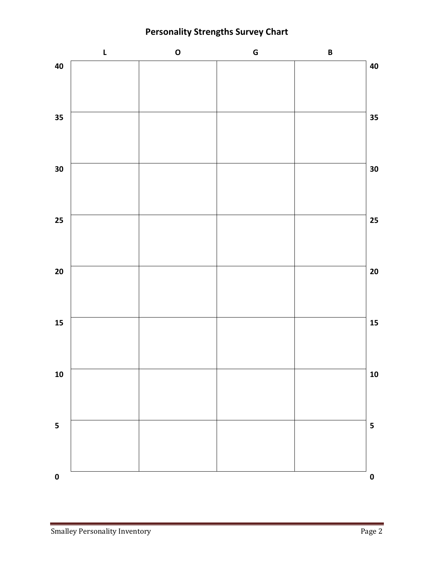**Personality Strengths Survey Chart**

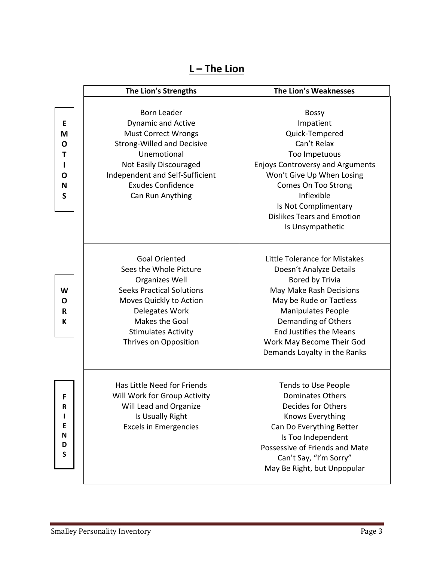|--|

|                                 | The Lion's Strengths                                                                                                                                                                                                                           | The Lion's Weaknesses                                                                                                                                                                                                                                                                |
|---------------------------------|------------------------------------------------------------------------------------------------------------------------------------------------------------------------------------------------------------------------------------------------|--------------------------------------------------------------------------------------------------------------------------------------------------------------------------------------------------------------------------------------------------------------------------------------|
| E<br>M<br>O<br>т<br>O<br>N<br>S | <b>Born Leader</b><br><b>Dynamic and Active</b><br><b>Must Correct Wrongs</b><br><b>Strong-Willed and Decisive</b><br>Unemotional<br>Not Easily Discouraged<br>Independent and Self-Sufficient<br><b>Exudes Confidence</b><br>Can Run Anything | <b>Bossy</b><br>Impatient<br>Quick-Tempered<br>Can't Relax<br>Too Impetuous<br><b>Enjoys Controversy and Arguments</b><br>Won't Give Up When Losing<br>Comes On Too Strong<br>Inflexible<br>Is Not Complimentary<br><b>Dislikes Tears and Emotion</b><br>Is Unsympathetic            |
| W<br>O<br>R<br>К                | <b>Goal Oriented</b><br>Sees the Whole Picture<br><b>Organizes Well</b><br><b>Seeks Practical Solutions</b><br>Moves Quickly to Action<br>Delegates Work<br>Makes the Goal<br><b>Stimulates Activity</b><br>Thrives on Opposition              | Little Tolerance for Mistakes<br>Doesn't Analyze Details<br>Bored by Trivia<br>May Make Rash Decisions<br>May be Rude or Tactless<br><b>Manipulates People</b><br>Demanding of Others<br><b>End Justifies the Means</b><br>Work May Become Their God<br>Demands Loyalty in the Ranks |
| F<br>R<br>E<br>N<br>D<br>S      | Has Little Need for Friends<br>Will Work for Group Activity<br>Will Lead and Organize<br>Is Usually Right<br><b>Excels in Emergencies</b>                                                                                                      | <b>Tends to Use People</b><br><b>Dominates Others</b><br>Decides for Others<br>Knows Everything<br>Can Do Everything Better<br>Is Too Independent<br>Possessive of Friends and Mate<br>Can't Say, "I'm Sorry"<br>May Be Right, but Unpopular                                         |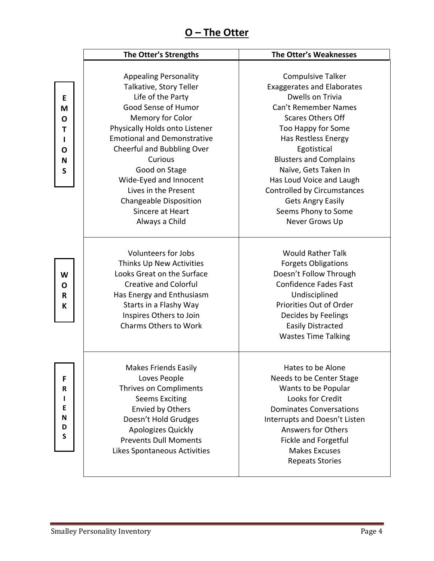## **O – The Otter**

|                                 | The Otter's Strengths                                                                                                                                                                                                                                                                                                                                                              | The Otter's Weaknesses                                                                                                                                                                                                                                                                                                                                                                     |
|---------------------------------|------------------------------------------------------------------------------------------------------------------------------------------------------------------------------------------------------------------------------------------------------------------------------------------------------------------------------------------------------------------------------------|--------------------------------------------------------------------------------------------------------------------------------------------------------------------------------------------------------------------------------------------------------------------------------------------------------------------------------------------------------------------------------------------|
| Е<br>M<br>O<br>т<br>O<br>N<br>S | <b>Appealing Personality</b><br>Talkative, Story Teller<br>Life of the Party<br>Good Sense of Humor<br>Memory for Color<br>Physically Holds onto Listener<br><b>Emotional and Demonstrative</b><br>Cheerful and Bubbling Over<br>Curious<br>Good on Stage<br>Wide-Eyed and Innocent<br>Lives in the Present<br><b>Changeable Disposition</b><br>Sincere at Heart<br>Always a Child | <b>Compulsive Talker</b><br><b>Exaggerates and Elaborates</b><br>Dwells on Trivia<br>Can't Remember Names<br><b>Scares Others Off</b><br>Too Happy for Some<br>Has Restless Energy<br>Egotistical<br><b>Blusters and Complains</b><br>Naïve, Gets Taken In<br>Has Loud Voice and Laugh<br>Controlled by Circumstances<br><b>Gets Angry Easily</b><br>Seems Phony to Some<br>Never Grows Up |
| W<br>O<br>R<br>К                | <b>Volunteers for Jobs</b><br>Thinks Up New Activities<br>Looks Great on the Surface<br><b>Creative and Colorful</b><br>Has Energy and Enthusiasm<br>Starts in a Flashy Way<br>Inspires Others to Join<br>Charms Others to Work                                                                                                                                                    | <b>Would Rather Talk</b><br><b>Forgets Obligations</b><br>Doesn't Follow Through<br><b>Confidence Fades Fast</b><br>Undisciplined<br>Priorities Out of Order<br>Decides by Feelings<br><b>Easily Distracted</b><br><b>Wastes Time Talking</b>                                                                                                                                              |
| F<br>R<br>E<br>N<br>D<br>S      | <b>Makes Friends Easily</b><br>Loves People<br>Thrives on Compliments<br><b>Seems Exciting</b><br><b>Envied by Others</b><br>Doesn't Hold Grudges<br>Apologizes Quickly<br><b>Prevents Dull Moments</b><br>Likes Spontaneous Activities                                                                                                                                            | Hates to be Alone<br>Needs to be Center Stage<br>Wants to be Popular<br>Looks for Credit<br><b>Dominates Conversations</b><br>Interrupts and Doesn't Listen<br><b>Answers for Others</b><br>Fickle and Forgetful<br><b>Makes Excuses</b><br><b>Repeats Stories</b>                                                                                                                         |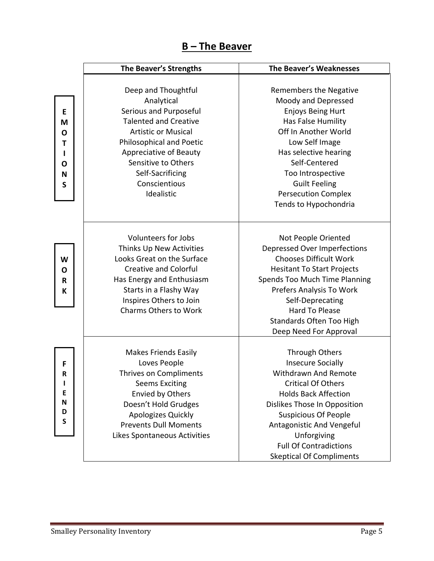| The Beaver |
|------------|
|------------|

|                                 | The Beaver's Strengths                                                                                                                                                                                                                                    | <b>The Beaver's Weaknesses</b>                                                                                                                                                                                                                                                                                              |  |
|---------------------------------|-----------------------------------------------------------------------------------------------------------------------------------------------------------------------------------------------------------------------------------------------------------|-----------------------------------------------------------------------------------------------------------------------------------------------------------------------------------------------------------------------------------------------------------------------------------------------------------------------------|--|
| E<br>M<br>O<br>Τ<br>O<br>N<br>S | Deep and Thoughtful<br>Analytical<br>Serious and Purposeful<br><b>Talented and Creative</b><br><b>Artistic or Musical</b><br>Philosophical and Poetic<br>Appreciative of Beauty<br>Sensitive to Others<br>Self-Sacrificing<br>Conscientious<br>Idealistic | Remembers the Negative<br>Moody and Depressed<br><b>Enjoys Being Hurt</b><br>Has False Humility<br>Off In Another World<br>Low Self Image<br>Has selective hearing<br>Self-Centered<br>Too Introspective<br><b>Guilt Feeling</b><br><b>Persecution Complex</b><br>Tends to Hypochondria                                     |  |
| W<br>O<br>$\mathbf R$<br>К      | <b>Volunteers for Jobs</b><br>Thinks Up New Activities<br>Looks Great on the Surface<br><b>Creative and Colorful</b><br>Has Energy and Enthusiasm<br>Starts in a Flashy Way<br>Inspires Others to Join<br><b>Charms Others to Work</b>                    | Not People Oriented<br><b>Depressed Over Imperfections</b><br><b>Chooses Difficult Work</b><br><b>Hesitant To Start Projects</b><br>Spends Too Much Time Planning<br>Prefers Analysis To Work<br>Self-Deprecating<br><b>Hard To Please</b><br>Standards Often Too High<br>Deep Need For Approval                            |  |
| F<br>R<br>E<br>N<br>D<br>S      | <b>Makes Friends Easily</b><br>Loves People<br>Thrives on Compliments<br><b>Seems Exciting</b><br><b>Envied by Others</b><br>Doesn't Hold Grudges<br>Apologizes Quickly<br><b>Prevents Dull Moments</b><br>Likes Spontaneous Activities                   | <b>Through Others</b><br><b>Insecure Socially</b><br><b>Withdrawn And Remote</b><br><b>Critical Of Others</b><br><b>Holds Back Affection</b><br>Dislikes Those In Opposition<br><b>Suspicious Of People</b><br>Antagonistic And Vengeful<br>Unforgiving<br><b>Full Of Contradictions</b><br><b>Skeptical Of Compliments</b> |  |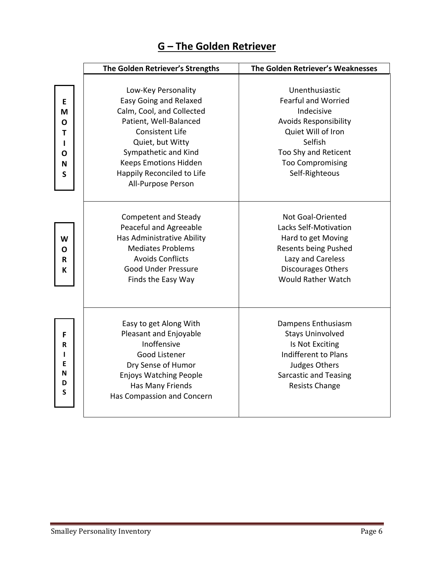|                                 | The Golden Retriever's Strengths                                                                                                                                                          | The Golden Retriever's Weaknesses                                                                                                                                              |  |
|---------------------------------|-------------------------------------------------------------------------------------------------------------------------------------------------------------------------------------------|--------------------------------------------------------------------------------------------------------------------------------------------------------------------------------|--|
|                                 |                                                                                                                                                                                           |                                                                                                                                                                                |  |
|                                 | Low-Key Personality                                                                                                                                                                       | Unenthusiastic                                                                                                                                                                 |  |
| E                               | <b>Easy Going and Relaxed</b>                                                                                                                                                             | <b>Fearful and Worried</b>                                                                                                                                                     |  |
| M                               | Calm, Cool, and Collected                                                                                                                                                                 | Indecisive                                                                                                                                                                     |  |
| Ο                               | Patient, Well-Balanced                                                                                                                                                                    | <b>Avoids Responsibility</b>                                                                                                                                                   |  |
| Т                               | <b>Consistent Life</b>                                                                                                                                                                    | Quiet Will of Iron                                                                                                                                                             |  |
|                                 | Quiet, but Witty                                                                                                                                                                          | Selfish                                                                                                                                                                        |  |
| Ο                               | Sympathetic and Kind                                                                                                                                                                      | Too Shy and Reticent                                                                                                                                                           |  |
| N                               | <b>Keeps Emotions Hidden</b>                                                                                                                                                              | <b>Too Compromising</b>                                                                                                                                                        |  |
| S                               | Happily Reconciled to Life                                                                                                                                                                | Self-Righteous                                                                                                                                                                 |  |
|                                 | All-Purpose Person                                                                                                                                                                        |                                                                                                                                                                                |  |
| W<br>O<br>R<br>К                | <b>Competent and Steady</b><br>Peaceful and Agreeable<br>Has Administrative Ability<br><b>Mediates Problems</b><br><b>Avoids Conflicts</b><br>Good Under Pressure<br>Finds the Easy Way   | Not Goal-Oriented<br>Lacks Self-Motivation<br>Hard to get Moving<br><b>Resents being Pushed</b><br>Lazy and Careless<br><b>Discourages Others</b><br><b>Would Rather Watch</b> |  |
| F<br>R<br>L<br>E<br>N<br>D<br>S | Easy to get Along With<br>Pleasant and Enjoyable<br>Inoffensive<br>Good Listener<br>Dry Sense of Humor<br><b>Enjoys Watching People</b><br>Has Many Friends<br>Has Compassion and Concern | Dampens Enthusiasm<br><b>Stays Uninvolved</b><br>Is Not Exciting<br>Indifferent to Plans<br>Judges Others<br><b>Sarcastic and Teasing</b><br><b>Resists Change</b>             |  |

## **G – The Golden Retriever**